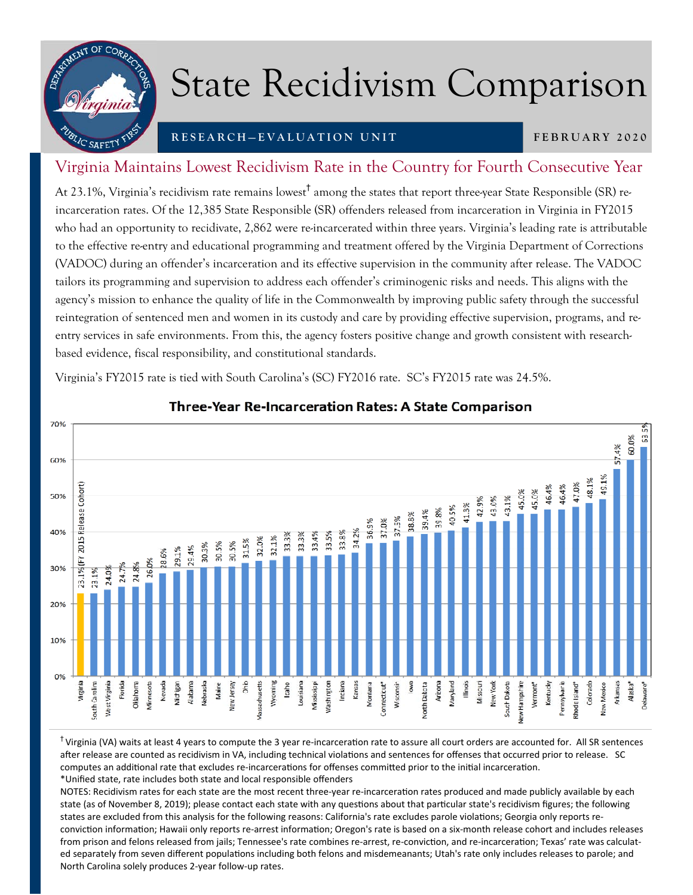

## State Recidivism Comparison

## **RESEARCH—EVALUATION UNIT**

**FEBRUARY 2020** 

## Virginia Maintains Lowest Recidivism Rate in the Country for Fourth Consecutive Year

At 23.1%, Virginia's recidivism rate remains lowest<sup>†</sup> among the states that report three-year State Responsible (SR) reincarceration rates. Of the 12,385 State Responsible (SR) offenders released from incarceration in Virginia in FY2015 who had an opportunity to recidivate, 2,862 were re-incarcerated within three years. Virginia's leading rate is attributable to the effective re-entry and educational programming and treatment offered by the Virginia Department of Corrections (VADOC) during an offender's incarceration and its effective supervision in the community after release. The VADOC tailors its programming and supervision to address each offender's criminogenic risks and needs. This aligns with the agency's mission to enhance the quality of life in the Commonwealth by improving public safety through the successful reintegration of sentenced men and women in its custody and care by providing effective supervision, programs, and reentry services in safe environments. From this, the agency fosters positive change and growth consistent with researchbased evidence, fiscal responsibility, and constitutional standards.

Virginia's FY2015 rate is tied with South Carolina's (SC) FY2016 rate. SC's FY2015 rate was 24.5%.



## Three-Year Re-Incarceration Rates: A State Comparison

 $<sup>†</sup>$ Virginia (VA) waits at least 4 years to compute the 3 year re-incarceration rate to assure all court orders are accounted for. All SR sentences</sup> after release are counted as recidivism in VA, including technical violations and sentences for offenses that occurred prior to release. SC computes an additional rate that excludes re-incarcerations for offenses committed prior to the initial incarceration. \*Unified state, rate includes both state and local responsible offenders

NOTES: Recidivism rates for each state are the most recent three-year re-incarceration rates produced and made publicly available by each state (as of November 8, 2019); please contact each state with any questions about that particular state's recidivism figures; the following states are excluded from this analysis for the following reasons: California's rate excludes parole violations; Georgia only reports reconviction information; Hawaii only reports re-arrest information; Oregon's rate is based on a six-month release cohort and includes releases from prison and felons released from jails; Tennessee's rate combines re-arrest, re-conviction, and re-incarceration; Texas' rate was calculated separately from seven different populations including both felons and misdemeanants; Utah's rate only includes releases to parole; and North Carolina solely produces 2‐year follow‐up rates.